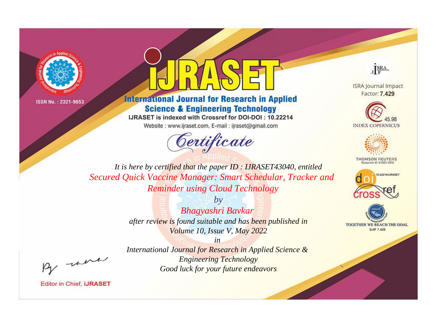



## **International Journal for Research in Applied Science & Engineering Technology**

IJRASET is indexed with Crossref for DOI-DOI: 10.22214

Website: www.ijraset.com, E-mail: ijraset@gmail.com





**ISRA Journal Impact** Factor: 7.429





**THOMSON REUTERS** 



TOGETHER WE REACH THE GOAL **SJIF 7.429** 

*It is here by certified that the paper ID : IJRASET43040, entitled Secured Quick Vaccine Manager: Smart Schedular, Tracker and Reminder using Cloud Technology*

> *by Bhagyashri Bavkar after review is found suitable and has been published in Volume 10, Issue V, May 2022*

, un

*International Journal for Research in Applied Science & Engineering Technology Good luck for your future endeavors*

*in*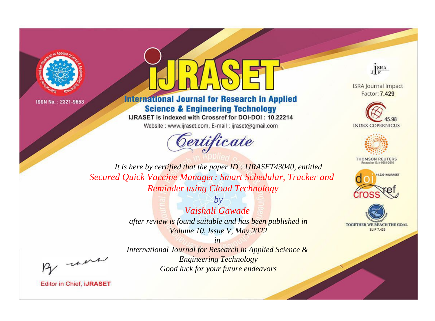



## **International Journal for Research in Applied Science & Engineering Technology**

IJRASET is indexed with Crossref for DOI-DOI: 10.22214

Website: www.ijraset.com, E-mail: ijraset@gmail.com





**ISRA Journal Impact** Factor: 7.429





**THOMSON REUTERS** 



TOGETHER WE REACH THE GOAL **SJIF 7.429** 

*It is here by certified that the paper ID : IJRASET43040, entitled Secured Quick Vaccine Manager: Smart Schedular, Tracker and Reminder using Cloud Technology*

> *by Vaishali Gawade after review is found suitable and has been published in Volume 10, Issue V, May 2022*

> *in International Journal for Research in Applied Science & Engineering Technology Good luck for your future endeavors*

, un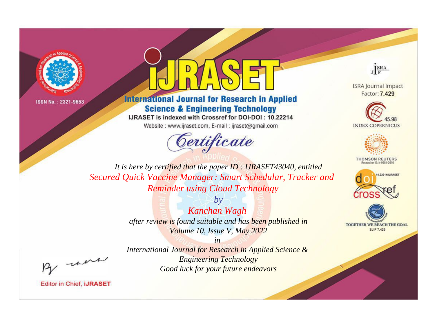



## **International Journal for Research in Applied Science & Engineering Technology**

IJRASET is indexed with Crossref for DOI-DOI: 10.22214

Website: www.ijraset.com, E-mail: ijraset@gmail.com



JERA

**ISRA Journal Impact** Factor: 7.429





**THOMSON REUTERS** 



TOGETHER WE REACH THE GOAL **SJIF 7.429** 

It is here by certified that the paper ID: IJRASET43040, entitled Secured Quick Vaccine Manager: Smart Schedular, Tracker and **Reminder using Cloud Technology** 

> $by$ Kanchan Wagh after review is found suitable and has been published in Volume 10, Issue V, May 2022

were

International Journal for Research in Applied Science & **Engineering Technology** Good luck for your future endeavors

 $in$